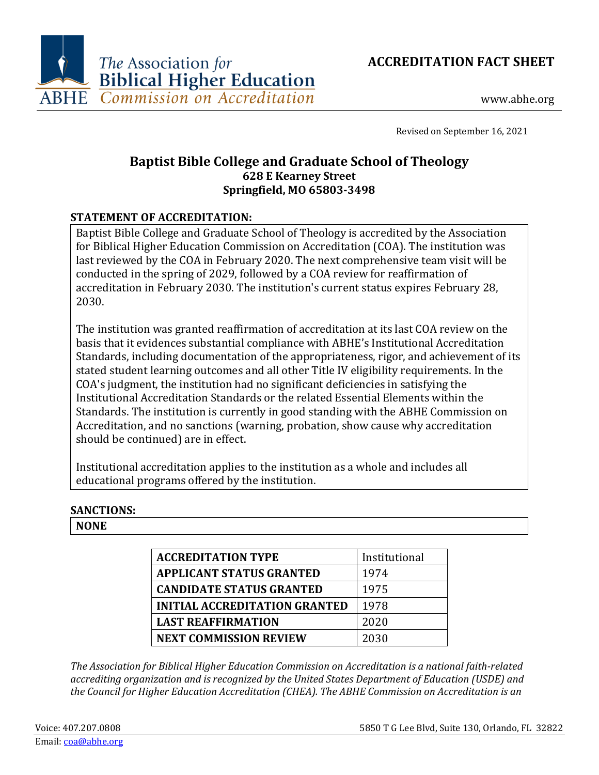



www.abhe.org

Revised on September 16, 2021

# **Baptist Bible College and Graduate School of Theology 628 E Kearney Street Springfield, MO 65803-3498**

# **STATEMENT OF ACCREDITATION:**

Baptist Bible College and Graduate School of Theology is accredited by the Association for Biblical Higher Education Commission on Accreditation (COA). The institution was last reviewed by the COA in February 2020. The next comprehensive team visit will be conducted in the spring of 2029, followed by a COA review for reaffirmation of accreditation in February 2030. The institution's current status expires February 28, 2030.

The institution was granted reaffirmation of accreditation at its last COA review on the basis that it evidences substantial compliance with ABHE's Institutional Accreditation Standards, including documentation of the appropriateness, rigor, and achievement of its stated student learning outcomes and all other Title IV eligibility requirements. In the COA's judgment, the institution had no significant deficiencies in satisfying the Institutional Accreditation Standards or the related Essential Elements within the Standards. The institution is currently in good standing with the ABHE Commission on Accreditation, and no sanctions (warning, probation, show cause why accreditation should be continued) are in effect.

Institutional accreditation applies to the institution as a whole and includes all educational programs offered by the institution.

#### **SANCTIONS:**

**NONE**

| <b>ACCREDITATION TYPE</b>            | Institutional |
|--------------------------------------|---------------|
| <b>APPLICANT STATUS GRANTED</b>      | 1974          |
| <b>CANDIDATE STATUS GRANTED</b>      | 1975          |
| <b>INITIAL ACCREDITATION GRANTED</b> | 1978          |
| <b>LAST REAFFIRMATION</b>            | 2020          |
| <b>NEXT COMMISSION REVIEW</b>        | 2030          |

*The Association for Biblical Higher Education Commission on Accreditation is a national faith-related accrediting organization and is recognized by the United States Department of Education (USDE) and the Council for Higher Education Accreditation (CHEA). The ABHE Commission on Accreditation is an*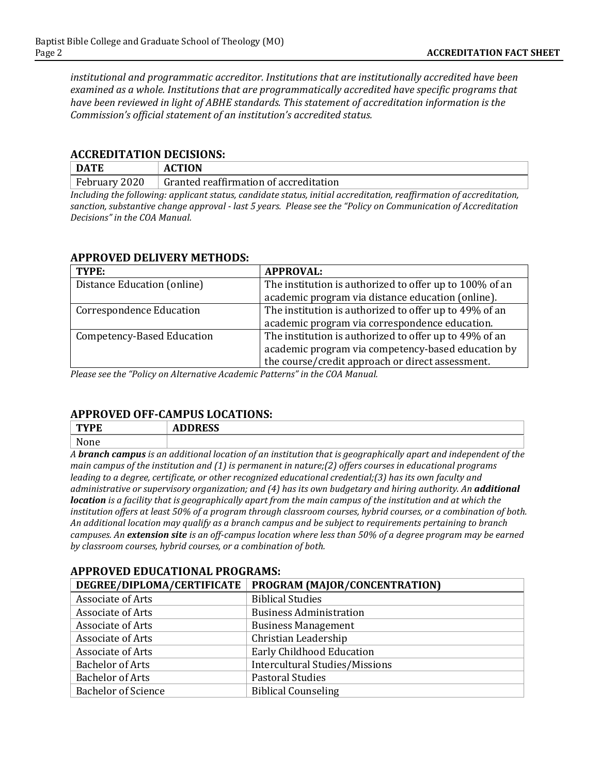*institutional and programmatic accreditor. Institutions that are institutionally accredited have been examined as a whole. Institutions that are programmatically accredited have specific programs that have been reviewed in light of ABHE standards. This statement of accreditation information is the Commission's official statement of an institution's accredited status.*

#### **ACCREDITATION DECISIONS:**

| <b>DATE</b>   | <b>ACTION</b>                          |  |
|---------------|----------------------------------------|--|
| February 2020 | Granted reaffirmation of accreditation |  |
|               | $\sim$<br>$\cdots$<br>$\cdots$         |  |

*Including the following: applicant status, candidate status, initial accreditation, reaffirmation of accreditation, sanction, substantive change approval - last 5 years. Please see the "Policy on Communication of Accreditation Decisions" in the COA Manual.*

### **APPROVED DELIVERY METHODS:**

| TYPE:                           | <b>APPROVAL:</b>                                        |
|---------------------------------|---------------------------------------------------------|
| Distance Education (online)     | The institution is authorized to offer up to 100% of an |
|                                 | academic program via distance education (online).       |
| <b>Correspondence Education</b> | The institution is authorized to offer up to 49% of an  |
|                                 | academic program via correspondence education.          |
| Competency-Based Education      | The institution is authorized to offer up to 49% of an  |
|                                 | academic program via competency-based education by      |
|                                 | the course/credit approach or direct assessment.        |

*Please see the "Policy on Alternative Academic Patterns" in the COA Manual.*

# **APPROVED OFF-CAMPUS LOCATIONS:**

| <b>TWDF</b><br>- 13 | <b>BBBB00</b><br>ADDINEJJ |
|---------------------|---------------------------|
| None                |                           |
|                     |                           |

*A branch campus is an additional location of an institution that is geographically apart and independent of the main campus of the institution and (1) is permanent in nature;(2) offers courses in educational programs leading to a degree, certificate, or other recognized educational credential;(3) has its own faculty and administrative or supervisory organization; and (4) has its own budgetary and hiring authority. An additional location is a facility that is geographically apart from the main campus of the institution and at which the institution offers at least 50% of a program through classroom courses, hybrid courses, or a combination of both. An additional location may qualify as a branch campus and be subject to requirements pertaining to branch campuses. An extension site is an off-campus location where less than 50% of a degree program may be earned by classroom courses, hybrid courses, or a combination of both.*

#### **APPROVED EDUCATIONAL PROGRAMS:**

| DEGREE/DIPLOMA/CERTIFICATE | PROGRAM (MAJOR/CONCENTRATION)         |
|----------------------------|---------------------------------------|
| Associate of Arts          | <b>Biblical Studies</b>               |
| Associate of Arts          | <b>Business Administration</b>        |
| Associate of Arts          | <b>Business Management</b>            |
| Associate of Arts          | Christian Leadership                  |
| Associate of Arts          | Early Childhood Education             |
| <b>Bachelor of Arts</b>    | <b>Intercultural Studies/Missions</b> |
| <b>Bachelor of Arts</b>    | <b>Pastoral Studies</b>               |
| <b>Bachelor of Science</b> | <b>Biblical Counseling</b>            |